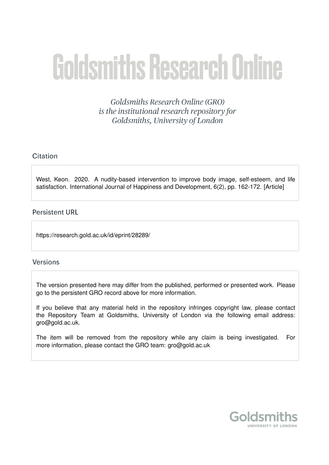# **Goldsmiths Research Online**

Goldsmiths Research Online (GRO) is the institutional research repository for Goldsmiths, University of London

# Citation

West, Keon. 2020. A nudity-based intervention to improve body image, self-esteem, and life satisfaction. International Journal of Happiness and Development, 6(2), pp. 162-172. [Article]

# **Persistent URL**

https://research.gold.ac.uk/id/eprint/28289/

## **Versions**

The version presented here may differ from the published, performed or presented work. Please go to the persistent GRO record above for more information.

If you believe that any material held in the repository infringes copyright law, please contact the Repository Team at Goldsmiths, University of London via the following email address: gro@gold.ac.uk.

The item will be removed from the repository while any claim is being investigated. For more information, please contact the GRO team: gro@gold.ac.uk

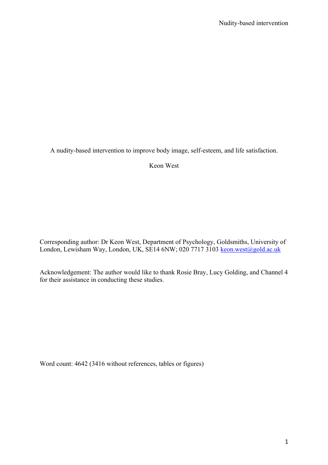A nudity-based intervention to improve body image, self-esteem, and life satisfaction.

Keon West

Corresponding author: Dr Keon West, Department of Psychology, Goldsmiths, University of London, Lewisham Way, London, UK, SE14 6NW; 020 7717 3103 keon.west@gold.ac.uk

Acknowledgement: The author would like to thank Rosie Bray, Lucy Golding, and Channel 4 for their assistance in conducting these studies.

Word count: 4642 (3416 without references, tables or figures)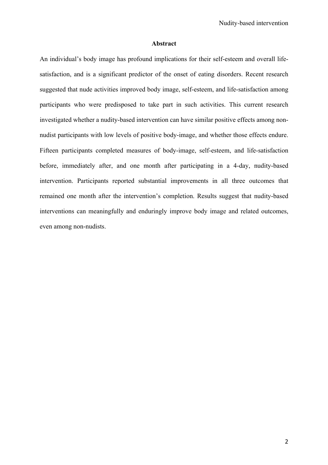#### **Abstract**

An individual's body image has profound implications for their self-esteem and overall lifesatisfaction, and is a significant predictor of the onset of eating disorders. Recent research suggested that nude activities improved body image, self-esteem, and life-satisfaction among participants who were predisposed to take part in such activities. This current research investigated whether a nudity-based intervention can have similar positive effects among nonnudist participants with low levels of positive body-image, and whether those effects endure. Fifteen participants completed measures of body-image, self-esteem, and life-satisfaction before, immediately after, and one month after participating in a 4-day, nudity-based intervention. Participants reported substantial improvements in all three outcomes that remained one month after the intervention's completion. Results suggest that nudity-based interventions can meaningfully and enduringly improve body image and related outcomes, even among non-nudists.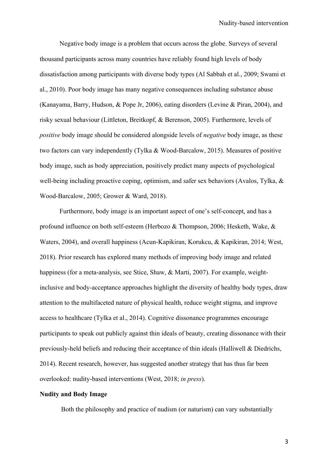Negative body image is a problem that occurs across the globe. Surveys of several thousand participants across many countries have reliably found high levels of body dissatisfaction among participants with diverse body types (Al Sabbah et al., 2009; Swami et al., 2010). Poor body image has many negative consequences including substance abuse (Kanayama, Barry, Hudson, & Pope Jr, 2006), eating disorders (Levine & Piran, 2004), and risky sexual behaviour (Littleton, Breitkopf, & Berenson, 2005). Furthermore, levels of *positive* body image should be considered alongside levels of *negative* body image, as these two factors can vary independently (Tylka & Wood-Barcalow, 2015). Measures of positive body image, such as body appreciation, positively predict many aspects of psychological well-being including proactive coping, optimism, and safer sex behaviors (Avalos, Tylka, & Wood-Barcalow, 2005; Grower & Ward, 2018).

Furthermore, body image is an important aspect of one's self-concept, and has a profound influence on both self-esteem (Herbozo & Thompson, 2006; Hesketh, Wake, & Waters, 2004), and overall happiness (Acun-Kapikiran, Korukcu, & Kapikiran, 2014; West, 2018). Prior research has explored many methods of improving body image and related happiness (for a meta-analysis, see Stice, Shaw, & Marti, 2007). For example, weightinclusive and body-acceptance approaches highlight the diversity of healthy body types, draw attention to the multifaceted nature of physical health, reduce weight stigma, and improve access to healthcare (Tylka et al., 2014). Cognitive dissonance programmes encourage participants to speak out publicly against thin ideals of beauty, creating dissonance with their previously-held beliefs and reducing their acceptance of thin ideals (Halliwell & Diedrichs, 2014). Recent research, however, has suggested another strategy that has thus far been overlooked: nudity-based interventions (West, 2018; *in press*).

#### **Nudity and Body Image**

Both the philosophy and practice of nudism (or naturism) can vary substantially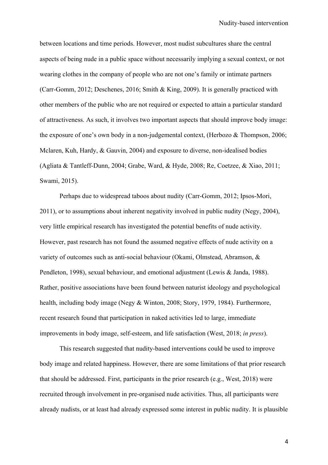between locations and time periods. However, most nudist subcultures share the central aspects of being nude in a public space without necessarily implying a sexual context, or not wearing clothes in the company of people who are not one's family or intimate partners (Carr-Gomm, 2012; Deschenes, 2016; Smith & King, 2009). It is generally practiced with other members of the public who are not required or expected to attain a particular standard of attractiveness. As such, it involves two important aspects that should improve body image: the exposure of one's own body in a non-judgemental context, (Herbozo & Thompson, 2006; Mclaren, Kuh, Hardy, & Gauvin, 2004) and exposure to diverse, non-idealised bodies (Agliata & Tantleff-Dunn, 2004; Grabe, Ward, & Hyde, 2008; Re, Coetzee, & Xiao, 2011; Swami, 2015).

Perhaps due to widespread taboos about nudity (Carr-Gomm, 2012; Ipsos-Mori, 2011), or to assumptions about inherent negativity involved in public nudity (Negy, 2004), very little empirical research has investigated the potential benefits of nude activity. However, past research has not found the assumed negative effects of nude activity on a variety of outcomes such as anti-social behaviour (Okami, Olmstead, Abramson, & Pendleton, 1998), sexual behaviour, and emotional adjustment (Lewis & Janda, 1988). Rather, positive associations have been found between naturist ideology and psychological health, including body image (Negy & Winton, 2008; Story, 1979, 1984). Furthermore, recent research found that participation in naked activities led to large, immediate improvements in body image, self-esteem, and life satisfaction (West, 2018; *in press*).

This research suggested that nudity-based interventions could be used to improve body image and related happiness. However, there are some limitations of that prior research that should be addressed. First, participants in the prior research (e.g., West, 2018) were recruited through involvement in pre-organised nude activities. Thus, all participants were already nudists, or at least had already expressed some interest in public nudity. It is plausible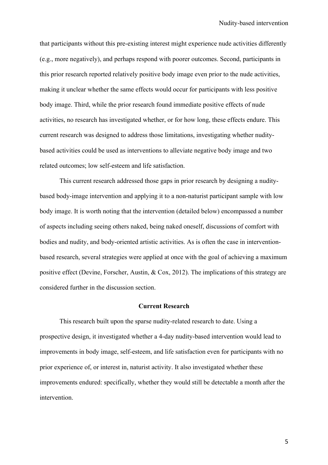that participants without this pre-existing interest might experience nude activities differently (e.g., more negatively), and perhaps respond with poorer outcomes. Second, participants in this prior research reported relatively positive body image even prior to the nude activities, making it unclear whether the same effects would occur for participants with less positive body image. Third, while the prior research found immediate positive effects of nude activities, no research has investigated whether, or for how long, these effects endure. This current research was designed to address those limitations, investigating whether nuditybased activities could be used as interventions to alleviate negative body image and two related outcomes; low self-esteem and life satisfaction.

This current research addressed those gaps in prior research by designing a nuditybased body-image intervention and applying it to a non-naturist participant sample with low body image. It is worth noting that the intervention (detailed below) encompassed a number of aspects including seeing others naked, being naked oneself, discussions of comfort with bodies and nudity, and body-oriented artistic activities. As is often the case in interventionbased research, several strategies were applied at once with the goal of achieving a maximum positive effect (Devine, Forscher, Austin, & Cox, 2012). The implications of this strategy are considered further in the discussion section.

## **Current Research**

This research built upon the sparse nudity-related research to date. Using a prospective design, it investigated whether a 4-day nudity-based intervention would lead to improvements in body image, self-esteem, and life satisfaction even for participants with no prior experience of, or interest in, naturist activity. It also investigated whether these improvements endured: specifically, whether they would still be detectable a month after the intervention.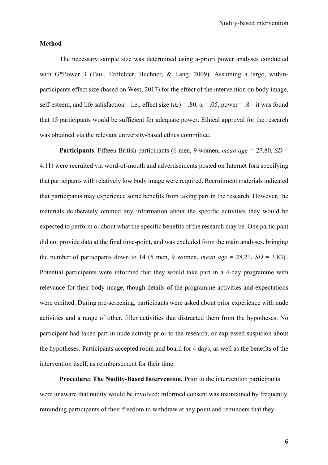#### **Method**

The necessary sample size was determined using a-priori power analyses conducted with G\*Power 3 (Faul, Erdfelder, Buchner, & Lang, 2009). Assuming a large, withinparticipants effect size (based on West, 2017) for the effect of the intervention on body image, self-esteem, and life satisfaction – i.e., effect size  $(dz)$  = .80,  $\alpha$  = .05, power = .8 – it was found that 15 participants would be sufficient for adequate power. Ethical approval for the research was obtained via the relevant university-based ethics committee.

**Participants**. Fifteen British participants (6 men, 9 women, *mean age =* 27.80, *SD* = 4.11) were recruited via word-of-mouth and advertisements posted on Internet fora specifying that participants with relatively low body image were required. Recruitment materials indicated that participants may experience some benefits from taking part in the research. However, the materials deliberately omitted any information about the specific activities they would be expected to perform or about what the specific benefits of the research may be. One participant did not provide data at the final time-point, and was excluded from the main analyses, bringing the number of participants down to 14 (5 men, 9 women, *mean age* = 28.21,  $SD = 3.83$ <sup>i</sup>. Potential participants were informed that they would take part in a 4-day programme with relevance for their body-image, though details of the programme activities and expectations were omitted. During pre-screening, participants were asked about prior experience with nude activities and a range of other, filler activities that distracted them from the hypotheses. No participant had taken part in nude activity prior to the research, or expressed suspicion about the hypotheses. Participants accepted room and board for 4 days, as well as the benefits of the intervention itself, as reimbursement for their time.

**Procedure: The Nudity-Based Intervention.** Prior to the intervention participants were unaware that nudity would be involved; informed consent was maintained by frequently reminding participants of their freedom to withdraw at any point and reminders that they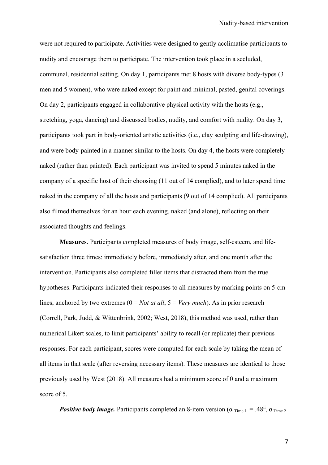were not required to participate. Activities were designed to gently acclimatise participants to nudity and encourage them to participate. The intervention took place in a secluded, communal, residential setting. On day 1, participants met 8 hosts with diverse body-types (3 men and 5 women), who were naked except for paint and minimal, pasted, genital coverings. On day 2, participants engaged in collaborative physical activity with the hosts (e.g., stretching, yoga, dancing) and discussed bodies, nudity, and comfort with nudity. On day 3, participants took part in body-oriented artistic activities (i.e., clay sculpting and life-drawing), and were body-painted in a manner similar to the hosts. On day 4, the hosts were completely naked (rather than painted). Each participant was invited to spend 5 minutes naked in the company of a specific host of their choosing (11 out of 14 complied), and to later spend time naked in the company of all the hosts and participants (9 out of 14 complied). All participants also filmed themselves for an hour each evening, naked (and alone), reflecting on their associated thoughts and feelings.

**Measures**. Participants completed measures of body image, self-esteem, and lifesatisfaction three times: immediately before, immediately after, and one month after the intervention. Participants also completed filler items that distracted them from the true hypotheses. Participants indicated their responses to all measures by marking points on 5-cm lines, anchored by two extremes (0 = *Not at all*, 5 = *Very much*). As in prior research (Correll, Park, Judd, & Wittenbrink, 2002; West, 2018), this method was used, rather than numerical Likert scales, to limit participants' ability to recall (or replicate) their previous responses. For each participant, scores were computed for each scale by taking the mean of all items in that scale (after reversing necessary items). These measures are identical to those previously used by West (2018). All measures had a minimum score of 0 and a maximum score of 5.

**Positive body image.** Participants completed an 8-item version ( $\alpha$  Time 1 = .48<sup>ii</sup>,  $\alpha$  Time 2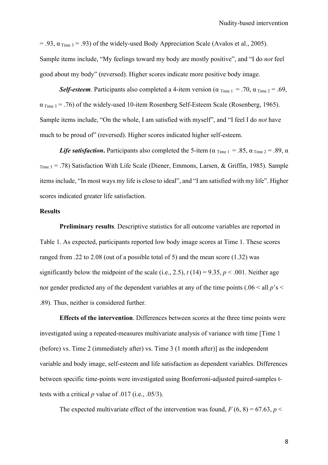= .93,  $\alpha$ <sub>Time</sub> 3 = .93) of the widely-used Body Appreciation Scale (Avalos et al., 2005). Sample items include, "My feelings toward my body are mostly positive", and "I do *not* feel good about my body" (reversed). Higher scores indicate more positive body image.

*Self-esteem.* Participants also completed a 4-item version ( $\alpha$  Time 1 = .70,  $\alpha$  Time 2 = .69,  $\alpha_{Time 3}$  = .76) of the widely-used 10-item Rosenberg Self-Esteem Scale (Rosenberg, 1965). Sample items include, "On the whole, I am satisfied with myself", and "I feel I do *not* have much to be proud of" (reversed). Higher scores indicated higher self-esteem.

*Life satisfaction*. Participants also completed the 5-item ( $\alpha$  <sub>Time 1</sub> = .85,  $\alpha$  <sub>Time 2</sub> = .89,  $\alpha$  $T_{\text{Time 3}}$  = .78) Satisfaction With Life Scale (Diener, Emmons, Larsen, & Griffin, 1985). Sample items include, "In most ways my life is close to ideal", and "I am satisfied with my life". Higher scores indicated greater life satisfaction.

## **Results**

**Preliminary results**. Descriptive statistics for all outcome variables are reported in Table 1. As expected, participants reported low body image scores at Time 1. These scores ranged from .22 to 2.08 (out of a possible total of 5) and the mean score (1.32) was significantly below the midpoint of the scale (i.e., 2.5),  $t(14) = 9.35$ ,  $p < .001$ . Neither age nor gender predicted any of the dependent variables at any of the time points (.06 < all  $p$ 's < .89). Thus, neither is considered further.

**Effects of the intervention**. Differences between scores at the three time points were investigated using a repeated-measures multivariate analysis of variance with time [Time 1 (before) vs. Time 2 (immediately after) vs. Time 3 (1 month after)] as the independent variable and body image, self-esteem and life satisfaction as dependent variables. Differences between specific time-points were investigated using Bonferroni-adjusted paired-samples ttests with a critical *p* value of .017 (i.e., .05/3).

The expected multivariate effect of the intervention was found,  $F(6, 8) = 67.63$ ,  $p <$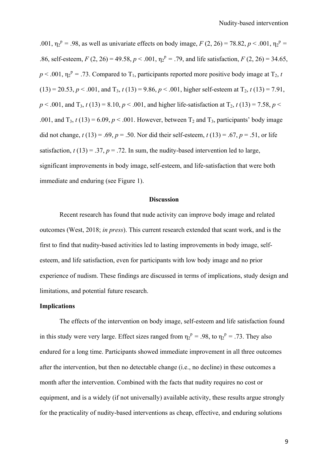.001,  $\eta_2^p = .98$ , as well as univariate effects on body image, *F* (2, 26) = 78.82, *p* < .001,  $\eta_2^p =$ .86, self-esteem,  $F(2, 26) = 49.58$ ,  $p < .001$ ,  $\eta_2^p = .79$ , and life satisfaction,  $F(2, 26) = 34.65$ ,  $p < .001$ ,  $\eta_2^p = .73$ . Compared to T<sub>1</sub>, participants reported more positive body image at T<sub>2</sub>, *t*  $(13) = 20.53, p < .001,$  and  $T_3$ ,  $t(13) = 9.86, p < .001$ , higher self-esteem at  $T_2$ ,  $t(13) = 7.91$ ,  $p < .001$ , and T<sub>3</sub>,  $t(13) = 8.10$ ,  $p < .001$ , and higher life-satisfaction at T<sub>2</sub>,  $t(13) = 7.58$ ,  $p <$ .001, and  $T_3$ ,  $t(13) = 6.09$ ,  $p < .001$ . However, between  $T_2$  and  $T_3$ , participants' body image did not change,  $t(13) = .69$ ,  $p = .50$ . Nor did their self-esteem,  $t(13) = .67$ ,  $p = .51$ , or life satisfaction,  $t(13) = .37$ ,  $p = .72$ . In sum, the nudity-based intervention led to large, significant improvements in body image, self-esteem, and life-satisfaction that were both immediate and enduring (see Figure 1).

#### **Discussion**

Recent research has found that nude activity can improve body image and related outcomes (West, 2018; *in press*). This current research extended that scant work, and is the first to find that nudity-based activities led to lasting improvements in body image, selfesteem, and life satisfaction, even for participants with low body image and no prior experience of nudism. These findings are discussed in terms of implications, study design and limitations, and potential future research.

## **Implications**

The effects of the intervention on body image, self-esteem and life satisfaction found in this study were very large. Effect sizes ranged from  $\eta_2^p = .98$ , to  $\eta_2^p = .73$ . They also endured for a long time. Participants showed immediate improvement in all three outcomes after the intervention, but then no detectable change (i.e., no decline) in these outcomes a month after the intervention. Combined with the facts that nudity requires no cost or equipment, and is a widely (if not universally) available activity, these results argue strongly for the practicality of nudity-based interventions as cheap, effective, and enduring solutions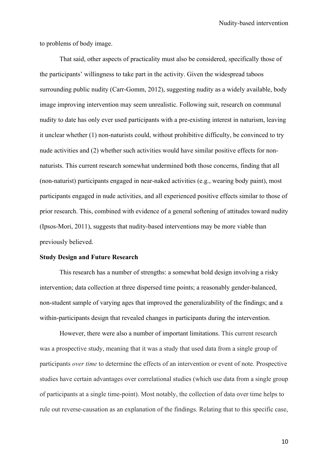to problems of body image.

That said, other aspects of practicality must also be considered, specifically those of the participants' willingness to take part in the activity. Given the widespread taboos surrounding public nudity (Carr-Gomm, 2012), suggesting nudity as a widely available, body image improving intervention may seem unrealistic. Following suit, research on communal nudity to date has only ever used participants with a pre-existing interest in naturism, leaving it unclear whether (1) non-naturists could, without prohibitive difficulty, be convinced to try nude activities and (2) whether such activities would have similar positive effects for nonnaturists. This current research somewhat undermined both those concerns, finding that all (non-naturist) participants engaged in near-naked activities (e.g., wearing body paint), most participants engaged in nude activities, and all experienced positive effects similar to those of prior research. This, combined with evidence of a general softening of attitudes toward nudity (Ipsos-Mori, 2011), suggests that nudity-based interventions may be more viable than previously believed.

#### **Study Design and Future Research**

This research has a number of strengths: a somewhat bold design involving a risky intervention; data collection at three dispersed time points; a reasonably gender-balanced, non-student sample of varying ages that improved the generalizability of the findings; and a within-participants design that revealed changes in participants during the intervention.

However, there were also a number of important limitations. This current research was a prospective study, meaning that it was a study that used data from a single group of participants *over time* to determine the effects of an intervention or event of note. Prospective studies have certain advantages over correlational studies (which use data from a single group of participants at a single time-point). Most notably, the collection of data over time helps to rule out reverse-causation as an explanation of the findings. Relating that to this specific case,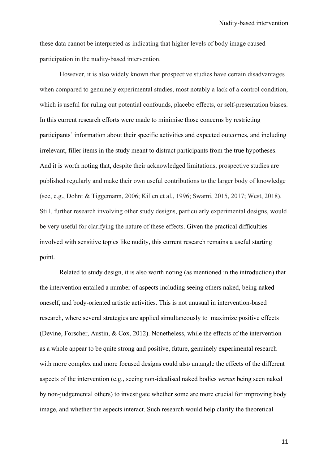these data cannot be interpreted as indicating that higher levels of body image caused participation in the nudity-based intervention.

However, it is also widely known that prospective studies have certain disadvantages when compared to genuinely experimental studies, most notably a lack of a control condition, which is useful for ruling out potential confounds, placebo effects, or self-presentation biases. In this current research efforts were made to minimise those concerns by restricting participants' information about their specific activities and expected outcomes, and including irrelevant, filler items in the study meant to distract participants from the true hypotheses. And it is worth noting that, despite their acknowledged limitations, prospective studies are published regularly and make their own useful contributions to the larger body of knowledge (see, e.g., Dohnt & Tiggemann, 2006; Killen et al., 1996; Swami, 2015, 2017; West, 2018). Still, further research involving other study designs, particularly experimental designs, would be very useful for clarifying the nature of these effects. Given the practical difficulties involved with sensitive topics like nudity, this current research remains a useful starting point.

Related to study design, it is also worth noting (as mentioned in the introduction) that the intervention entailed a number of aspects including seeing others naked, being naked oneself, and body-oriented artistic activities. This is not unusual in intervention-based research, where several strategies are applied simultaneously to maximize positive effects (Devine, Forscher, Austin, & Cox, 2012). Nonetheless, while the effects of the intervention as a whole appear to be quite strong and positive, future, genuinely experimental research with more complex and more focused designs could also untangle the effects of the different aspects of the intervention (e.g., seeing non-idealised naked bodies *versus* being seen naked by non-judgemental others) to investigate whether some are more crucial for improving body image, and whether the aspects interact. Such research would help clarify the theoretical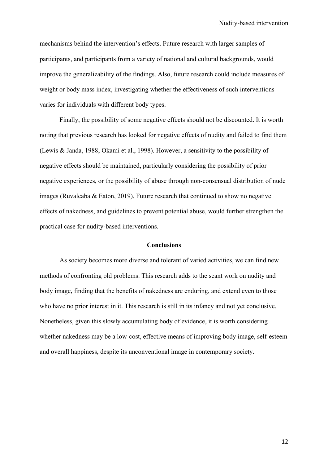mechanisms behind the intervention's effects. Future research with larger samples of participants, and participants from a variety of national and cultural backgrounds, would improve the generalizability of the findings. Also, future research could include measures of weight or body mass index, investigating whether the effectiveness of such interventions varies for individuals with different body types.

Finally, the possibility of some negative effects should not be discounted. It is worth noting that previous research has looked for negative effects of nudity and failed to find them (Lewis & Janda, 1988; Okami et al., 1998). However, a sensitivity to the possibility of negative effects should be maintained, particularly considering the possibility of prior negative experiences, or the possibility of abuse through non-consensual distribution of nude images (Ruvalcaba & Eaton, 2019). Future research that continued to show no negative effects of nakedness, and guidelines to prevent potential abuse, would further strengthen the practical case for nudity-based interventions.

## **Conclusions**

As society becomes more diverse and tolerant of varied activities, we can find new methods of confronting old problems. This research adds to the scant work on nudity and body image, finding that the benefits of nakedness are enduring, and extend even to those who have no prior interest in it. This research is still in its infancy and not yet conclusive. Nonetheless, given this slowly accumulating body of evidence, it is worth considering whether nakedness may be a low-cost, effective means of improving body image, self-esteem and overall happiness, despite its unconventional image in contemporary society.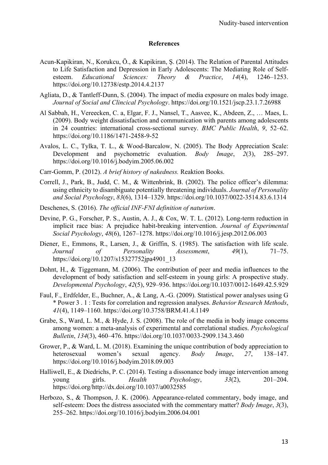# **References**

- Acun-Kapikiran, N., Korukcu, Ö., & Kapikiran, Ş. (2014). The Relation of Parental Attitudes to Life Satisfaction and Depression in Early Adolescents: The Mediating Role of Selfesteem. *Educational Sciences: Theory & Practice*, *14*(4), 1246–1253. https://doi.org/10.12738/estp.2014.4.2137
- Agliata, D., & Tantleff-Dunn, S. (2004). The impact of media exposure on males body image. *Journal of Social and Clincical Psychology*. https://doi.org/10.1521/jscp.23.1.7.26988
- Al Sabbah, H., Vereecken, C. a, Elgar, F. J., Nansel, T., Aasvee, K., Abdeen, Z., … Maes, L. (2009). Body weight dissatisfaction and communication with parents among adolescents in 24 countries: international cross-sectional survey. *BMC Public Health*, *9*, 52–62. https://doi.org/10.1186/1471-2458-9-52
- Avalos, L. C., Tylka, T. L., & Wood-Barcalow, N. (2005). The Body Appreciation Scale: Development and psychometric evaluation. *Body Image*, *2*(3), 285–297. https://doi.org/10.1016/j.bodyim.2005.06.002
- Carr-Gomm, P. (2012). *A brief history of nakedness.* Reaktion Books.
- Correll, J., Park, B., Judd, C. M., & Wittenbrink, B. (2002). The police officer's dilemma: using ethnicity to disambiguate potentially threatening individuals. *Journal of Personality and Social Psychology*, *83*(6), 1314–1329. https://doi.org/10.1037/0022-3514.83.6.1314
- Deschenes, S. (2016). *The official INF-FNI definition of naturism*.
- Devine, P. G., Forscher, P. S., Austin, A. J., & Cox, W. T. L. (2012). Long-term reduction in implicit race bias: A prejudice habit-breaking intervention. *Journal of Experimental Social Psychology*, *48*(6), 1267–1278. https://doi.org/10.1016/j.jesp.2012.06.003
- Diener, E., Emmons, R., Larsen, J., & Griffin, S. (1985). The satisfaction with life scale. *Journal of Personality Assessmemt*, *49*(1), 71–75. https://doi.org/10.1207/s15327752jpa4901\_13
- Dohnt, H., & Tiggemann, M. (2006). The contribution of peer and media influences to the development of body satisfaction and self-esteem in young girls: A prospective study. *Developmental Psychology*, *42*(5), 929–936. https://doi.org/10.1037/0012-1649.42.5.929
- Faul, F., Erdfelder, E., Buchner, A., & Lang, A.-G. (2009). Statistical power analyses using G \* Power 3 . 1 : Tests for correlation and regression analyses. *Behavior Research Methods*, *41*(4), 1149–1160. https://doi.org/10.3758/BRM.41.4.1149
- Grabe, S., Ward, L. M., & Hyde, J. S. (2008). The role of the media in body image concerns among women: a meta-analysis of experimental and correlational studies. *Psychological Bulletin*, *134*(3), 460–476. https://doi.org/10.1037/0033-2909.134.3.460
- Grower, P., & Ward, L. M. (2018). Examining the unique contribution of body appreciation to heterosexual women's sexual agency. *Body Image*, *27*, 138–147. https://doi.org/10.1016/j.bodyim.2018.09.003
- Halliwell, E., & Diedrichs, P. C. (2014). Testing a dissonance body image intervention among young girls. *Health Psychology*, *33*(2), 201–204. https://doi.org/http://dx.doi.org/10.1037/a0032585
- Herbozo, S., & Thompson, J. K. (2006). Appearance-related commentary, body image, and self-esteem: Does the distress associated with the commentary matter? *Body Image*, *3*(3), 255–262. https://doi.org/10.1016/j.bodyim.2006.04.001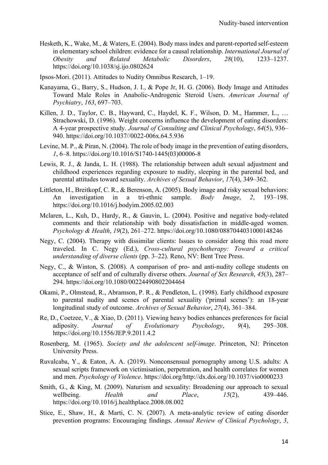- Hesketh, K., Wake, M., & Waters, E. (2004). Body mass index and parent-reported self-esteem in elementary school children: evidence for a causal relationship. *International Journal of Obesity and Related Metabolic Disorders*, *28*(10), 1233–1237. https://doi.org/10.1038/sj.ijo.0802624
- Ipsos-Mori. (2011). Attitudes to Nudity Omnibus Research, 1–19.
- Kanayama, G., Barry, S., Hudson, J. I., & Pope Jr, H. G. (2006). Body Image and Attitudes Toward Male Roles in Anabolic-Androgenic Steroid Users. *American Journal of Psychiatry*, *163*, 697–703.
- Killen, J. D., Taylor, C. B., Hayward, C., Haydel, K. F., Wilson, D. M., Hammer, L., ... Strachowski, D. (1996). Weight concerns influence the development of eating disorders: A 4-year prospective study. *Journal of Consulting and Clinical Psychology*, *64*(5), 936– 940. https://doi.org/10.1037//0022-006x.64.5.936
- Levine, M. P., & Piran, N. (2004). The role of body image in the prevention of eating disorders, *1*, 6–8. https://doi.org/10.1016/S1740-1445(03)00006-8
- Lewis, R. J., & Janda, L. H. (1988). The relationship between adult sexual adjustment and childhood experiences regarding exposure to nudity, sleeping in the parental bed, and parental attitudes toward sexuality. *Archives of Sexual Behavior*, *17*(4), 349–362.
- Littleton, H., Breitkopf, C. R., & Berenson, A. (2005). Body image and risky sexual behaviors: An investigation in a tri-ethnic sample. *Body Image*, *2*, 193–198. https://doi.org/10.1016/j.bodyim.2005.02.003
- Mclaren, L., Kuh, D., Hardy, R., & Gauvin, L. (2004). Positive and negative body-related comments and their relationship with body dissatisfaction in middle-aged women. *Psychology & Health*, *19*(2), 261–272. https://doi.org/10.1080/0887044031000148246
- Negy, C. (2004). Therapy with dissimilar clients: Issues to consider along this road more traveled. In C. Negy (Ed.), *Cross-cultural psychotherapy: Toward a critical understanding of diverse clients* (pp. 3–22). Reno, NV: Bent Tree Press.
- Negy, C., & Winton, S. (2008). A comparison of pro- and anti-nudity college students on acceptance of self and of culturally diverse others. *Journal of Sex Research*, *45*(3), 287– 294. https://doi.org/10.1080/00224490802204464
- Okami, P., Olmstead, R., Abramson, P. R., & Pendleton, L. (1998). Early childhood exposure to parental nudity and scenes of parental sexuality ('primal scenes'): an 18-year longitudinal study of outcome. *Archives of Sexual Behavior*, *27*(4), 361–384.
- Re, D., Coetzee, V., & Xiao, D. (2011). Viewing heavy bodies enhances preferences for facial adiposity. *Journal of Evolutionary Psychology*, *9*(4), 295–308. https://doi.org/10.1556/JEP.9.2011.4.2
- Rosenberg, M. (1965). *Society and the adolescent self-image*. Princeton, NJ: Princeton University Press.
- Ruvalcaba, Y., & Eaton, A. A. (2019). Nonconsensual pornography among U.S. adults: A sexual scripts framework on victimisation, perpetration, and health correlates for women and men. *Psychology of Violence*. https://doi.org/http://dx.doi.org/10.1037/vio0000233
- Smith, G., & King, M. (2009). Naturism and sexuality: Broadening our approach to sexual wellbeing. *Health and Place*, *15*(2), 439–446. https://doi.org/10.1016/j.healthplace.2008.08.002
- Stice, E., Shaw, H., & Marti, C. N. (2007). A meta-analytic review of eating disorder prevention programs: Encouraging findings. *Annual Review of Clinical Psychology*, *3*,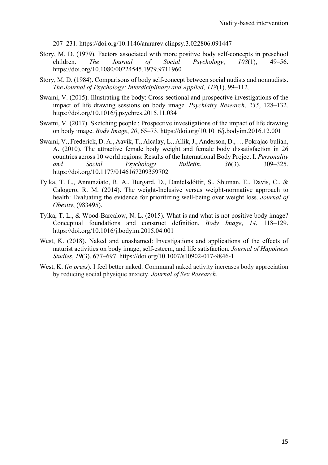207–231. https://doi.org/10.1146/annurev.clinpsy.3.022806.091447

- Story, M. D. (1979). Factors associated with more positive body self-concepts in preschool children. *The Journal of Social Psychology*, *108*(1), 49–56. https://doi.org/10.1080/00224545.1979.9711960
- Story, M. D. (1984). Comparisons of body self-concept between social nudists and nonnudists. *The Journal of Psychology: Interdiciplinary and Applied*, *118*(1), 99–112.
- Swami, V. (2015). Illustrating the body: Cross-sectional and prospective investigations of the impact of life drawing sessions on body image. *Psychiatry Research*, *235*, 128–132. https://doi.org/10.1016/j.psychres.2015.11.034
- Swami, V. (2017). Sketching people : Prospective investigations of the impact of life drawing on body image. *Body Image*, *20*, 65–73. https://doi.org/10.1016/j.bodyim.2016.12.001
- Swami, V., Frederick, D. A., Aavik, T., Alcalay, L., Allik, J., Anderson, D., … Pokrajac-bulian, A. (2010). The attractive female body weight and female body dissatisfaction in 26 countries across 10 world regions: Results of the International Body Project I. *Personality and Social Psychology Bulletin*, *36*(3), 309–325. https://doi.org/10.1177/0146167209359702
- Tylka, T. L., Annunziato, R. A., Burgard, D., Daníelsdóttir, S., Shuman, E., Davis, C., & Calogero, R. M. (2014). The weight-Inclusive versus weight-normative approach to health: Evaluating the evidence for prioritizing well-being over weight loss. *Journal of Obesity*, (983495).
- Tylka, T. L., & Wood-Barcalow, N. L. (2015). What is and what is not positive body image? Conceptual foundations and construct definition. *Body Image*, *14*, 118–129. https://doi.org/10.1016/j.bodyim.2015.04.001
- West, K. (2018). Naked and unashamed: Investigations and applications of the effects of naturist activities on body image, self-esteem, and life satisfaction. *Journal of Happiness Studies*, *19*(3), 677–697. https://doi.org/10.1007/s10902-017-9846-1
- West, K. (*in press*). I feel better naked: Communal naked activity increases body appreciation by reducing social physique anxiety. *Journal of Sex Research*.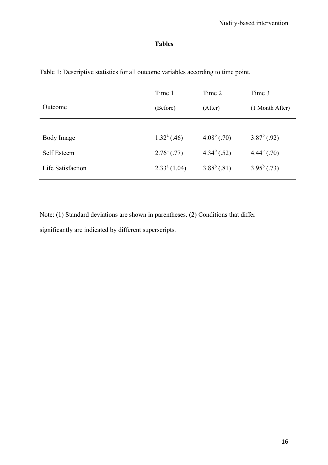# **Tables**

|                   | Time 1                  | Time 2         | Time 3          |
|-------------------|-------------------------|----------------|-----------------|
| Outcome           | (Before)                | (After)        | (1 Month After) |
|                   |                         |                |                 |
| Body Image        | $1.32^{\text{a}}$ (.46) | $4.08^b$ (.70) | $3.87^b$ (.92)  |
| Self Esteem       | $2.76^{\circ}$ (.77)    | $4.34^b$ (.52) | $4.44^b$ (.70)  |
| Life Satisfaction | $2.33^{\circ}$ (1.04)   | $3.88^b$ (.81) | $3.95^b$ (.73)  |
|                   |                         |                |                 |

Table 1: Descriptive statistics for all outcome variables according to time point.

Note: (1) Standard deviations are shown in parentheses. (2) Conditions that differ significantly are indicated by different superscripts.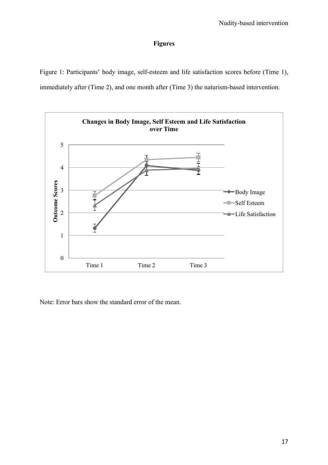# **Figures**

Figure 1: Participants' body image, self-esteem and life satisfaction scores before (Time 1), immediately after (Time 2), and one month after (Time 3) the naturism-based intervention.



Note: Error bars show the standard error of the mean.